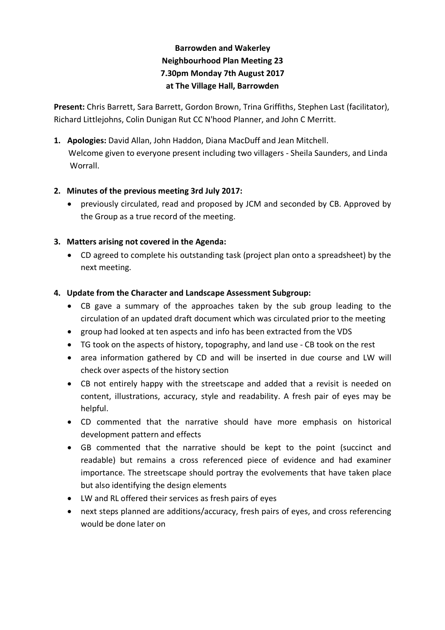# **Barrowden and Wakerley Neighbourhood Plan Meeting 23 7.30pm Monday 7th August 2017 at The Village Hall, Barrowden**

**Present:** Chris Barrett, Sara Barrett, Gordon Brown, Trina Griffiths, Stephen Last (facilitator), Richard Littlejohns, Colin Dunigan Rut CC N'hood Planner, and John C Merritt.

**1. Apologies:** David Allan, John Haddon, Diana MacDuff and Jean Mitchell. Welcome given to everyone present including two villagers - Sheila Saunders, and Linda Worrall.

## **2. Minutes of the previous meeting 3rd July 2017:**

• previously circulated, read and proposed by JCM and seconded by CB. Approved by the Group as a true record of the meeting.

# **3. Matters arising not covered in the Agenda:**

• CD agreed to complete his outstanding task (project plan onto a spreadsheet) by the next meeting.

## **4. Update from the Character and Landscape Assessment Subgroup:**

- CB gave a summary of the approaches taken by the sub group leading to the circulation of an updated draft document which was circulated prior to the meeting
- group had looked at ten aspects and info has been extracted from the VDS
- TG took on the aspects of history, topography, and land use CB took on the rest
- area information gathered by CD and will be inserted in due course and LW will check over aspects of the history section
- CB not entirely happy with the streetscape and added that a revisit is needed on content, illustrations, accuracy, style and readability. A fresh pair of eyes may be helpful.
- CD commented that the narrative should have more emphasis on historical development pattern and effects
- GB commented that the narrative should be kept to the point (succinct and readable) but remains a cross referenced piece of evidence and had examiner importance. The streetscape should portray the evolvements that have taken place but also identifying the design elements
- LW and RL offered their services as fresh pairs of eyes
- next steps planned are additions/accuracy, fresh pairs of eyes, and cross referencing would be done later on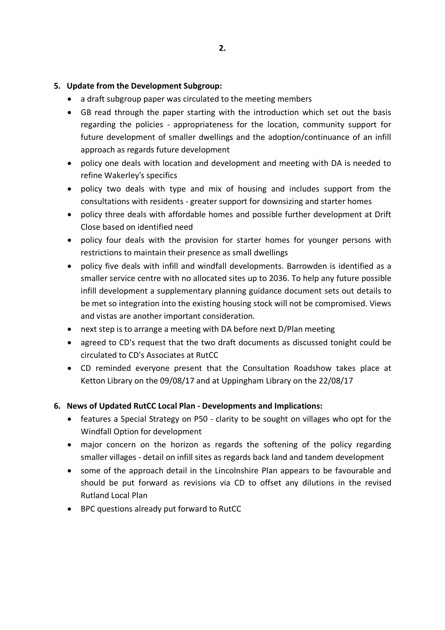#### **5. Update from the Development Subgroup:**

- a draft subgroup paper was circulated to the meeting members
- GB read through the paper starting with the introduction which set out the basis regarding the policies - appropriateness for the location, community support for future development of smaller dwellings and the adoption/continuance of an infill approach as regards future development
- policy one deals with location and development and meeting with DA is needed to refine Wakerley's specifics
- policy two deals with type and mix of housing and includes support from the consultations with residents - greater support for downsizing and starter homes
- policy three deals with affordable homes and possible further development at Drift Close based on identified need
- policy four deals with the provision for starter homes for younger persons with restrictions to maintain their presence as small dwellings
- policy five deals with infill and windfall developments. Barrowden is identified as a smaller service centre with no allocated sites up to 2036. To help any future possible infill development a supplementary planning guidance document sets out details to be met so integration into the existing housing stock will not be compromised. Views and vistas are another important consideration.
- next step is to arrange a meeting with DA before next D/Plan meeting
- agreed to CD's request that the two draft documents as discussed tonight could be circulated to CD's Associates at RutCC
- CD reminded everyone present that the Consultation Roadshow takes place at Ketton Library on the 09/08/17 and at Uppingham Library on the 22/08/17

### **6. News of Updated RutCC Local Plan - Developments and Implications:**

- features a Special Strategy on P50 clarity to be sought on villages who opt for the Windfall Option for development
- major concern on the horizon as regards the softening of the policy regarding smaller villages - detail on infill sites as regards back land and tandem development
- some of the approach detail in the Lincolnshire Plan appears to be favourable and should be put forward as revisions via CD to offset any dilutions in the revised Rutland Local Plan
- BPC questions already put forward to RutCC